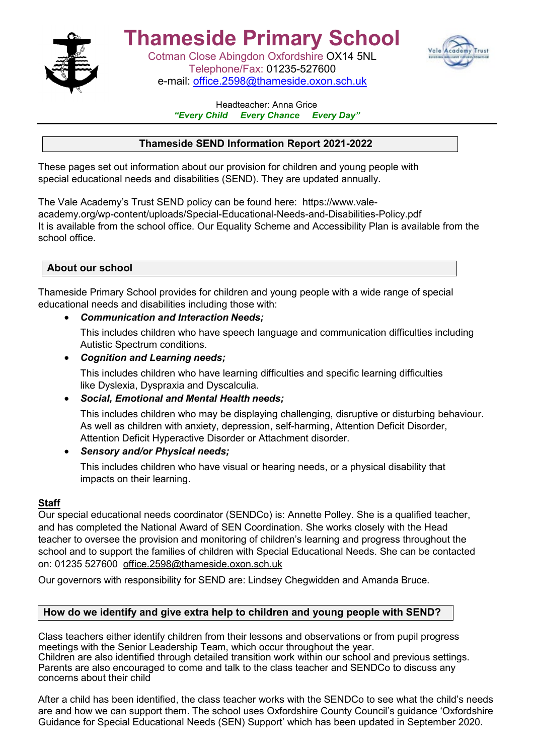

# **Thameside Primary School**

Cotman Close Abingdon Oxfordshire OX14 5NL Telephone/Fax: 01235-527600 e-mail: [office.2598@thameside.oxon.sch.uk](mailto:office.2598@thameside.oxon.sch.uk)



#### Headteacher: Anna Grice<br>Every Child Every Chance E *Every Chance Every Day"*

# **Thameside SEND Information Report 2021-2022**

These pages set out information about our provision for children and young people with special educational needs and disabilities (SEND). They are updated annually.

The Vale Academy's Trust SEND policy can be found here: [https://www.vale](https://www.vale-academy.org/wp-content/uploads/Special-Educational-Needs-and-Disabilities-Policy.pdf)[academy.org/wp-content/uploads/Special-Educational-Needs-and-Disabilities-Policy.pdf](https://www.vale-academy.org/wp-content/uploads/Special-Educational-Needs-and-Disabilities-Policy.pdf)  It is available from the school office. Our Equality Scheme and Accessibility Plan is available from the school office.

## **About our school**

Thameside Primary School provides for children and young people with a wide range of special educational needs and disabilities including those with:

• *Communication and Interaction Needs;*

This includes children who have speech language and communication difficulties including Autistic Spectrum conditions.

• *Cognition and Learning needs;*

This includes children who have learning difficulties and specific learning difficulties like Dyslexia, Dyspraxia and Dyscalculia.

• *Social, Emotional and Mental Health needs;*

This includes children who may be displaying challenging, disruptive or disturbing behaviour. As well as children with anxiety, depression, self-harming, Attention Deficit Disorder, Attention Deficit Hyperactive Disorder or Attachment disorder.

## • *Sensory and/or Physical needs;*

This includes children who have visual or hearing needs, or a physical disability that impacts on their learning.

#### **Staff**

Our special educational needs coordinator (SENDCo) is: Annette Polley. She is a qualified teacher, and has completed the National Award of SEN Coordination. She works closely with the Head teacher to oversee the provision and monitoring of children's learning and progress throughout the school and to support the families of children with Special Educational Needs. She can be contacted on: 01235 527600 [office.2598@thameside.oxon.sch.uk](mailto:office.2598@thameside.oxon.sch.uk)

Our governors with responsibility for SEND are: Lindsey Chegwidden and Amanda Bruce.

## **How do we identify and give extra help to children and young people with SEND?**

Class teachers either identify children from their lessons and observations or from pupil progress meetings with the Senior Leadership Team, which occur throughout the year. Children are also identified through detailed transition work within our school and previous settings. Parents are also encouraged to come and talk to the class teacher and SENDCo to discuss any concerns about their child

After a child has been identified, the class teacher works with the SENDCo to see what the child's needs are and how we can support them. The school uses Oxfordshire County Council's guidance 'Oxfordshire Guidance for Special Educational Needs (SEN) Support' which has been updated in September 2020.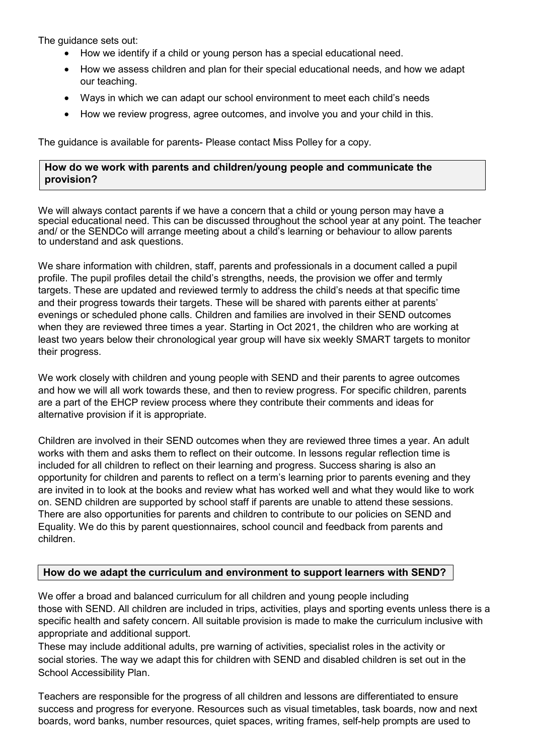The guidance sets out:

- How we identify if a child or young person has a special educational need.
- How we assess children and plan for their special educational needs, and how we adapt our teaching.
- Ways in which we can adapt our school environment to meet each child's needs
- How we review progress, agree outcomes, and involve you and your child in this.

The guidance is available for parents- Please contact Miss Polley for a copy.

### **How do we work with parents and children/young people and communicate the provision?**

We will always contact parents if we have a concern that a child or young person may have a special educational need. This can be discussed throughout the school year at any point. The teacher and/ or the SENDCo will arrange meeting about a child's learning or behaviour to allow parents to understand and ask questions.

We share information with children, staff, parents and professionals in a document called a pupil profile. The pupil profiles detail the child's strengths, needs, the provision we offer and termly targets. These are updated and reviewed termly to address the child's needs at that specific time and their progress towards their targets. These will be shared with parents either at parents' evenings or scheduled phone calls. Children and families are involved in their SEND outcomes when they are reviewed three times a year. Starting in Oct 2021, the children who are working at least two years below their chronological year group will have six weekly SMART targets to monitor their progress.

We work closely with children and young people with SEND and their parents to agree outcomes and how we will all work towards these, and then to review progress. For specific children, parents are a part of the EHCP review process where they contribute their comments and ideas for alternative provision if it is appropriate.

Children are involved in their SEND outcomes when they are reviewed three times a year. An adult works with them and asks them to reflect on their outcome. In lessons regular reflection time is included for all children to reflect on their learning and progress. Success sharing is also an opportunity for children and parents to reflect on a term's learning prior to parents evening and they are invited in to look at the books and review what has worked well and what they would like to work on. SEND children are supported by school staff if parents are unable to attend these sessions. There are also opportunities for parents and children to contribute to our policies on SEND and Equality. We do this by parent questionnaires, school council and feedback from parents and children.

## **How do we adapt the curriculum and environment to support learners with SEND?**

We offer a broad and balanced curriculum for all children and young people including those with SEND. All children are included in trips, activities, plays and sporting events unless there is a specific health and safety concern. All suitable provision is made to make the curriculum inclusive with appropriate and additional support.

These may include additional adults, pre warning of activities, specialist roles in the activity or social stories. The way we adapt this for children with SEND and disabled children is set out in the School Accessibility Plan.

Teachers are responsible for the progress of all children and lessons are differentiated to ensure success and progress for everyone. Resources such as visual timetables, task boards, now and next boards, word banks, number resources, quiet spaces, writing frames, self-help prompts are used to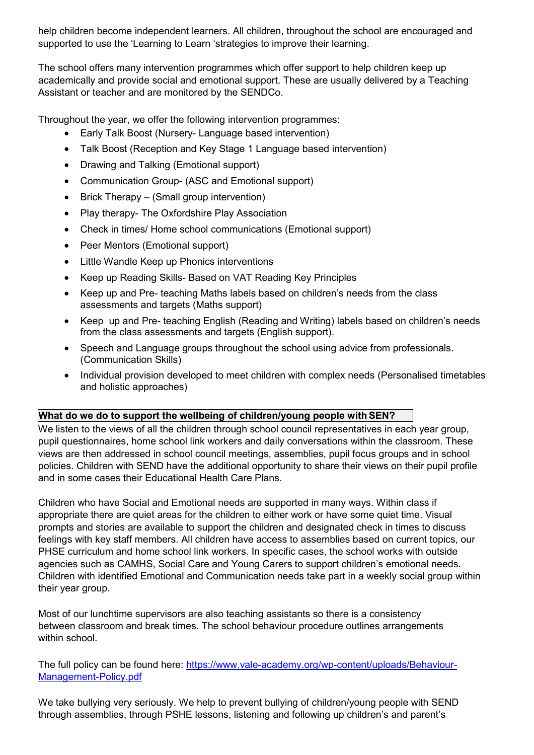help children become independent learners. All children, throughout the school are encouraged and supported to use the 'Learning to Learn 'strategies to improve their learning.

The school offers many intervention programmes which offer support to help children keep up academically and provide social and emotional support. These are usually delivered by a Teaching Assistant or teacher and are monitored by the SENDCo.

Throughout the year, we offer the following intervention programmes:

- Early Talk Boost (Nursery- Language based intervention)
- Talk Boost (Reception and Key Stage 1 Language based intervention)
- Drawing and Talking (Emotional support)
- Communication Group- (ASC and Emotional support)
- Brick Therapy (Small group intervention)
- Play therapy- The Oxfordshire Play Association
- Check in times/ Home school communications (Emotional support)
- Peer Mentors (Emotional support)
- Little Wandle Keep up Phonics interventions
- Keep up Reading Skills- Based on VAT Reading Key Principles
- Keep up and Pre- teaching Maths labels based on children's needs from the class assessments and targets (Maths support)
- Keep up and Pre- teaching English (Reading and Writing) labels based on children's needs from the class assessments and targets (English support).
- Speech and Language groups throughout the school using advice from professionals. (Communication Skills)
- Individual provision developed to meet children with complex needs (Personalised timetables and holistic approaches)

## **What do we do to support the wellbeing of children/young people withSEN?**

We listen to the views of all the children through school council representatives in each year group, pupil questionnaires, home school link workers and daily conversations within the classroom. These views are then addressed in school council meetings, assemblies, pupil focus groups and in school policies. Children with SEND have the additional opportunity to share their views on their pupil profile and in some cases their Educational Health Care Plans.

Children who have Social and Emotional needs are supported in many ways. Within class if appropriate there are quiet areas for the children to either work or have some quiet time. Visual prompts and stories are available to support the children and designated check in times to discuss feelings with key staff members. All children have access to assemblies based on current topics, our PHSE curriculum and home school link workers. In specific cases, the school works with outside agencies such as CAMHS, Social Care and Young Carers to support children's emotional needs. Children with identified Emotional and Communication needs take part in a weekly social group within their year group.

Most of our lunchtime supervisors are also teaching assistants so there is a consistency between classroom and break times. The school behaviour procedure outlines arrangements within school.

The full policy can be found here: [https://www.vale-academy.org/wp-content/uploads/Behaviour-](https://www.vale-academy.org/wp-content/uploads/Behaviour-Management-Policy.pdf)[Management-Policy.pdf](https://www.vale-academy.org/wp-content/uploads/Behaviour-Management-Policy.pdf)

We take bullying very seriously. We help to prevent bullying of children/young people with SEND through assemblies, through PSHE lessons, listening and following up children's and parent's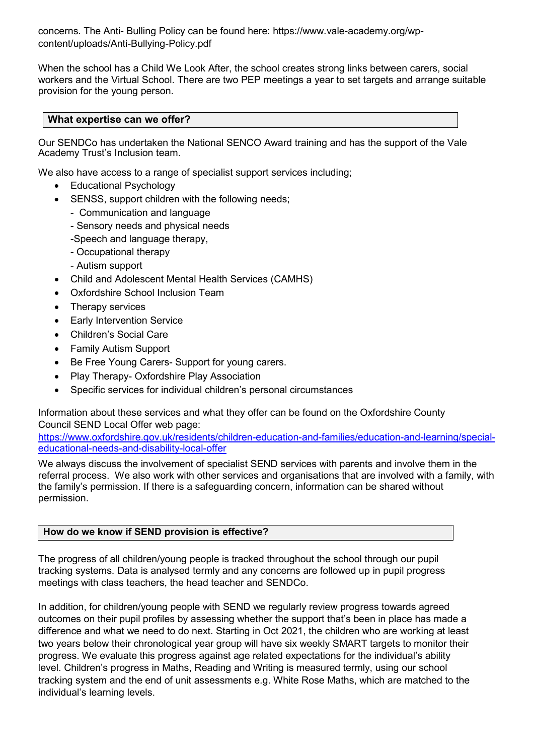concerns. The Anti- Bulling Policy can be found here: [https://www.vale-academy.org/wp](https://www.vale-academy.org/wp-content/uploads/Anti-Bullying-Policy.pdf)[content/uploads/Anti-Bullying-Policy.pdf](https://www.vale-academy.org/wp-content/uploads/Anti-Bullying-Policy.pdf)

When the school has a Child We Look After, the school creates strong links between carers, social workers and the Virtual School. There are two PEP meetings a year to set targets and arrange suitable provision for the young person.

#### **What expertise can we offer?**

Our SENDCo has undertaken the National SENCO Award training and has the support of the Vale Academy Trust's Inclusion team.

We also have access to a range of specialist support services including;

- Educational Psychology
- SENSS, support children with the following needs;
	- Communication and language
	- Sensory needs and physical needs
	- -Speech and language therapy,
	- Occupational therapy
	- Autism support
- Child and Adolescent Mental Health Services (CAMHS)
- Oxfordshire School Inclusion Team
- Therapy services
- **Early Intervention Service**
- Children's Social Care
- Family Autism Support
- Be Free Young Carers- Support for young carers.
- Play Therapy- Oxfordshire Play Association
- Specific services for individual children's personal circumstances

Information about these services and what they offer can be found on the Oxfordshire County Council SEND Local Offer web page:

[https://www.oxfordshire.gov.uk/residents/children-education-and-families/education-and-learning/special](https://www.oxfordshire.gov.uk/residents/children-education-and-families/education-and-learning/special-educational-needs-and-disability-local-offer)[educational-needs-and-disability-local-offer](https://www.oxfordshire.gov.uk/residents/children-education-and-families/education-and-learning/special-educational-needs-and-disability-local-offer)

We always discuss the involvement of specialist SEND services with parents and involve them in the referral process. We also work with other services and organisations that are involved with a family, with the family's permission. If there is a safeguarding concern, information can be shared without permission.

#### **How do we know if SEND provision is effective?**

The progress of all children/young people is tracked throughout the school through our pupil tracking systems. Data is analysed termly and any concerns are followed up in pupil progress meetings with class teachers, the head teacher and SENDCo.

In addition, for children/young people with SEND we regularly review progress towards agreed outcomes on their pupil profiles by assessing whether the support that's been in place has made a difference and what we need to do next. Starting in Oct 2021, the children who are working at least two years below their chronological year group will have six weekly SMART targets to monitor their progress. We evaluate this progress against age related expectations for the individual's ability level. Children's progress in Maths, Reading and Writing is measured termly, using our school tracking system and the end of unit assessments e.g. White Rose Maths, which are matched to the individual's learning levels.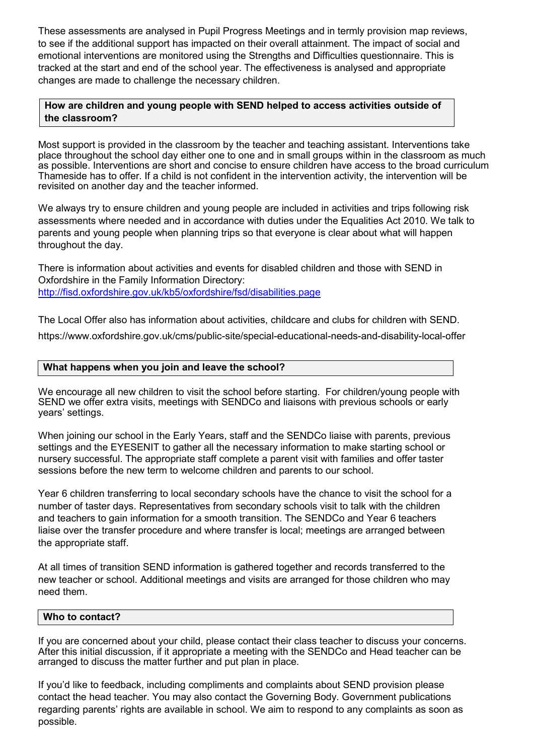These assessments are analysed in Pupil Progress Meetings and in termly provision map reviews, to see if the additional support has impacted on their overall attainment. The impact of social and emotional interventions are monitored using the Strengths and Difficulties questionnaire. This is tracked at the start and end of the school year. The effectiveness is analysed and appropriate changes are made to challenge the necessary children.

### **How are children and young people with SEND helped to access activities outside of the classroom?**

Most support is provided in the classroom by the teacher and teaching assistant. Interventions take place throughout the school day either one to one and in small groups within in the classroom as much as possible. Interventions are short and concise to ensure children have access to the broad curriculum Thameside has to offer. If a child is not confident in the intervention activity, the intervention will be revisited on another day and the teacher informed.

We always try to ensure children and young people are included in activities and trips following risk assessments where needed and in accordance with duties under the Equalities Act 2010. We talk to parents and young people when planning trips so that everyone is clear about what will happen throughout the day.

There is information about activities and events for disabled children and those with SEND in Oxfordshire in the Family Information Directory: <http://fisd.oxfordshire.gov.uk/kb5/oxfordshire/fsd/disabilities.page>

The Local Offer also has information about activities, childcare and clubs for children with SEND.

<https://www.oxfordshire.gov.uk/cms/public-site/special-educational-needs-and-disability-local-offer>

#### **What happens when you join and leave the school?**

We encourage all new children to visit the school before starting. For children/young people with SEND we offer extra visits, meetings with SENDCo and liaisons with previous schools or early years' settings.

When joining our school in the Early Years, staff and the SENDCo liaise with parents, previous settings and the EYESENIT to gather all the necessary information to make starting school or nursery successful. The appropriate staff complete a parent visit with families and offer taster sessions before the new term to welcome children and parents to our school.

Year 6 children transferring to local secondary schools have the chance to visit the school for a number of taster days. Representatives from secondary schools visit to talk with the children and teachers to gain information for a smooth transition. The SENDCo and Year 6 teachers liaise over the transfer procedure and where transfer is local; meetings are arranged between the appropriate staff.

At all times of transition SEND information is gathered together and records transferred to the new teacher or school. Additional meetings and visits are arranged for those children who may need them.

#### **Who to contact?**

If you are concerned about your child, please contact their class teacher to discuss your concerns. After this initial discussion, if it appropriate a meeting with the SENDCo and Head teacher can be arranged to discuss the matter further and put plan in place.

If you'd like to feedback, including compliments and complaints about SEND provision please contact the head teacher. You may also contact the Governing Body. Government publications regarding parents' rights are available in school. We aim to respond to any complaints as soon as possible.